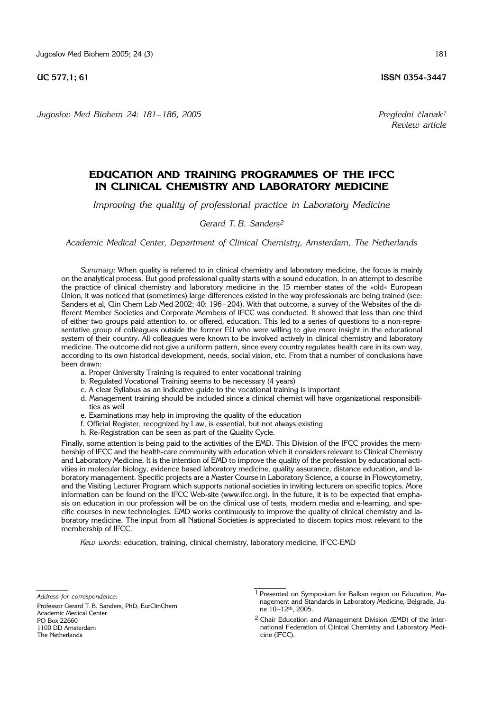*Jugoslov Med Biohem 24: 181*– *186, 2005 Pregledni ~lanak1*

# **EDUCATION AND TRAINING PROGRAMMES OF THE IFCC IN CLINICAL CHEMISTRY AND LABORATORY MEDICINE**

*Improving the quality of professional practice in Laboratory Medicine*

# *Gerard T. B. Sanders2*

*Academic Medical Center, Department of Clinical Chemistry, Amsterdam, The Netherlands*

*Summary*: When quality is referred to in clinical chemistry and laboratory medicine, the focus is mainly on the analytical process. But good professional quality starts with a sound education. In an attempt to describe the practice of clinical chemistry and laboratory medicine in the 15 member states of the »old« European Union, it was noticed that (sometimes) large differences existed in the way professionals are being trained (see: Sanders et al, Clin Chem Lab Med 2002; 40: 196–204). With that outcome, a survey of the Websites of the different Member Societies and Corporate Members of IFCC was conducted. It showed that less than one third of either two groups paid attention to, or offered, education. This led to a series of questions to a non-representative group of colleagues outside the former EU who were willing to give more insight in the educational system of their country. All colleagues were known to be involved actively in clinical chemistry and laboratory medicine. The outcome did not give a uniform pattern, since every country regulates health care in its own way, according to its own historical development, needs, social vision, etc. From that a number of conclusions have been drawn:

- a. Proper University Training is required to enter vocational training
- b. Regulated Vocational Training seems to be necessary (4 years)
- c. A clear Syllabus as an indicative guide to the vocational training is important
- d. Management training should be included since a clinical chemist will have organizational responsibilities as well
- e. Examinations may help in improving the quality of the education
- f. Official Register, recognized by Law, is essential, but not always existing
- h. Re-Registration can be seen as part of the Quality Cycle.

Finally, some attention is being paid to the activities of the EMD. This Division of the IFCC provides the membership of IFCC and the health-care community with education which it considers relevant to Clinical Chemistry and Laboratory Medicine. It is the intention of EMD to improve the quality of the profession by educational activities in molecular biology, evidence based laboratory medicine, quality assurance, distance education, and laboratory management. Specific projects are a Master Course in Laboratory Science, a course in Flowcytometry, and the Visiting Lecturer Program which supports national societies in inviting lecturers on specific topics. More information can be found on the IFCC Web-site (www.ifcc.org). In the future, it is to be expected that emphasis on education in our profession will be on the clinical use of tests, modern media and e-learning, and specific courses in new technologies. EMD works continuously to improve the quality of clinical chemistry and laboratory medicine. The input from all National Societies is appreciated to discern topics most relevant to the membership of IFCC.

*Kew words:* education, training, clinical chemistry, laboratory medicine, IFCC-EMD

Professor Gerard T.B. Sanders, PhD, EurClinChem Academic Medical Center PO Box 22660 1100 DD Amsterdam The Netherlands

**UC 577.1; 61 ISSN 0354-3447** 

*Review article*

*Address for correspondence:*

<sup>1</sup> Presented on Symposium for Balkan region on Education, Management and Standards in Laboratory Medicine, Belgrade, June 10–12th, 2005.

<sup>2</sup> Chair Education and Management Division (EMD) of the International Federation of Clinical Chemistry and Laboratory Medicine (IFCC).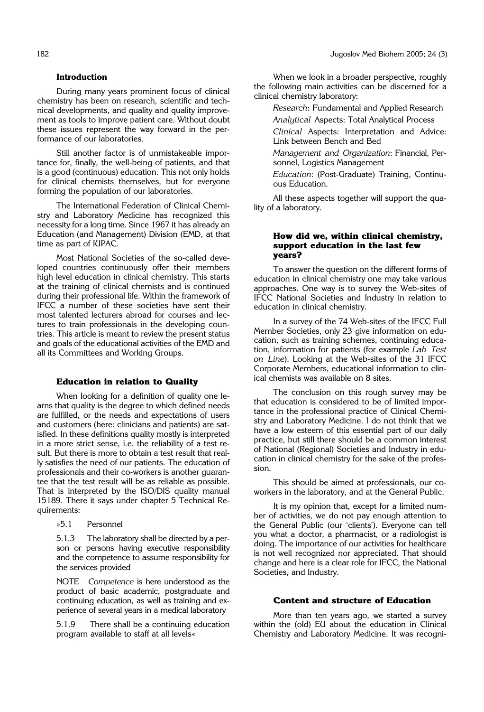# **Introduction**

During many years prominent focus of clinical chemistry has been on research, scientific and technical developments, and quality and quality improvement as tools to improve patient care. Without doubt these issues represent the way forward in the performance of our laboratories.

Still another factor is of unmistakeable importance for, finally, the well-being of patients, and that is a good (continuous) education. This not only holds for clinical chemists themselves, but for everyone forming the population of our laboratories.

The International Federation of Clinical Chemistry and Laboratory Medicine has recognized this necessity for a long time. Since 1967 it has already an Education (and Management) Division (EMD, at that time as part of IUPAC.

Most National Societies of the so-called developed countries continuously offer their members high level education in clinical chemistry. This starts at the training of clinical chemists and is continued during their professional life. Within the framework of IFCC a number of these societies have sent their most talented lecturers abroad for courses and lectures to train professionals in the developing countries. This article is meant to review the present status and goals of the educational activities of the EMD and all its Committees and Working Groups.

#### **Education in relation to Quality**

When looking for a definition of quality one learns that quality is the degree to which defined needs are fulfilled, or the needs and expectations of users and customers (here: clinicians and patients) are satisfied. In these definitions quality mostly is interpreted in a more strict sense, i.e. the reliability of a test result. But there is more to obtain a test result that really satisfies the need of our patients. The education of professionals and their co-workers is another guarantee that the test result will be as reliable as possible. That is interpreted by the ISO/DIS quality manual 15189. There it says under chapter 5 Technical Requirements:

»5.1 Personnel

5.1.3 The laboratory shall be directed by a person or persons having executive responsibility and the competence to assume responsibility for the services provided

NOTE *Competence* is here understood as the product of basic academic, postgraduate and continuing education, as well as training and experience of several years in a medical laboratory

5.1.9 There shall be a continuing education program available to staff at all levels«

When we look in a broader perspective, roughly the following main activities can be discerned for a clinical chemistry laboratory:

*Research*: Fundamental and Applied Research

*Analytical* Aspects: Total Analytical Process

*Clinical* Aspects: Interpretation and Advice: Link between Bench and Bed

*Management and Organization*: Financial, Personnel, Logistics Management

*Education*: (Post-Graduate) Training, Continuous Education.

All these aspects together will support the quality of a laboratory.

### **How did we, within clinical chemistry, support education in the last few years?**

To answer the question on the different forms of education in clinical chemistry one may take various approaches. One way is to survey the Web-sites of IFCC National Societies and Industry in relation to education in clinical chemistry.

In a survey of the 74 Web-sites of the IFCC Full Member Societies, only 23 give information on education, such as training schemes, continuing education, information for patients (for example *Lab Test on Line*). Looking at the Web-sites of the 31 IFCC Corporate Members, educational information to clinical chemists was available on 8 sites.

The conclusion on this rough survey may be that education is considered to be of limited importance in the professional practice of Clinical Chemistry and Laboratory Medicine. I do not think that we have a low esteem of this essential part of our daily practice, but still there should be a common interest of National (Regional) Societies and Industry in education in clinical chemistry for the sake of the profession.

This should be aimed at professionals, our coworkers in the laboratory, and at the General Public.

It is my opinion that, except for a limited number of activities, we do not pay enough attention to the General Public (our 'clients'). Everyone can tell you what a doctor, a pharmacist, or a radiologist is doing. The importance of our activities for healthcare is not well recognized nor appreciated. That should change and here is a clear role for IFCC, the National Societies, and Industry.

### **Content and structure of Education**

More than ten years ago, we started a survey within the (old) EU about the education in Clinical Chemistry and Laboratory Medicine. It was recogni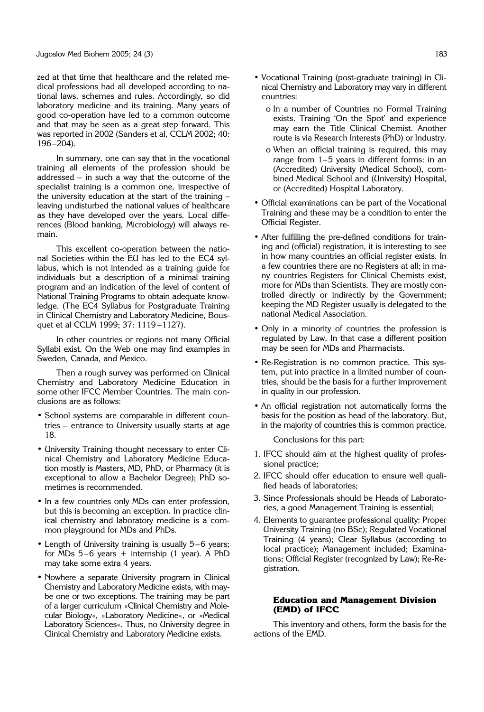zed at that time that healthcare and the related medical professions had all developed according to national laws, schemes and rules. Accordingly, so did laboratory medicine and its training. Many years of good co-operation have led to a common outcome and that may be seen as a great step forward. This was reported in 2002 (Sanders et al, CCLM 2002; 40: 196–204).

In summary, one can say that in the vocational training all elements of the profession should be addressed – in such a way that the outcome of the specialist training is a common one, irrespective of the university education at the start of the training – leaving undisturbed the national values of healthcare as they have developed over the years. Local differences (Blood banking, Microbiology) will always remain.

This excellent co-operation between the national Societies within the EU has led to the EC4 syllabus, which is not intended as a training guide for individuals but a description of a minimal training program and an indication of the level of content of National Training Programs to obtain adequate knowledge. (The EC4 Syllabus for Postgraduate Training in Clinical Chemistry and Laboratory Medicine, Bousquet et al CCLM 1999; 37: 1119 –1127).

In other countries or regions not many Official Syllabi exist. On the Web one may find examples in Sweden, Canada, and Mexico.

Then a rough survey was performed on Clinical Chemistry and Laboratory Medicine Education in some other IFCC Member Countries. The main conclusions are as follows:

- School systems are comparable in different countries – entrance to University usually starts at age 18.
- University Training thought necessary to enter Clinical Chemistry and Laboratory Medicine Education mostly is Masters, MD, PhD, or Pharmacy (it is exceptional to allow a Bachelor Degree); PhD sometimes is recommended.
- In a few countries only MDs can enter profession, but this is becoming an exception. In practice clinical chemistry and laboratory medicine is a common playground for MDs and PhDs.
- Length of University training is usually 5–6 years; for MDs  $5-6$  years + internship (1 year). A PhD may take some extra 4 years.
- Nowhere a separate University program in Clinical Chemistry and Laboratory Medicine exists, with maybe one or two exceptions. The training may be part of a larger curriculum »Clinical Chemistry and Molecular Biology«, »Laboratory Medicine«, or »Medical Laboratory Sciences«. Thus, no University degree in Clinical Chemistry and Laboratory Medicine exists.
- Vocational Training (post-graduate training) in Clinical Chemistry and Laboratory may vary in different countries:
	- o In a number of Countries no Formal Training exists. Training 'On the Spot' and experience may earn the Title Clinical Chemist. Another route is via Research Interests (PhD) or Industry.
	- o When an official training is required, this may range from 1–5 years in different forms: in an (Accredited) University (Medical School), combined Medical School and (University) Hospital, or (Accredited) Hospital Laboratory.
- Official examinations can be part of the Vocational Training and these may be a condition to enter the Official Register.
- After fulfilling the pre-defined conditions for training and (official) registration, it is interesting to see in how many countries an official register exists. In a few countries there are no Registers at all; in many countries Registers for Clinical Chemists exist, more for MDs than Scientists. They are mostly controlled directly or indirectly by the Government; keeping the MD Register usually is delegated to the national Medical Association.
- Only in a minority of countries the profession is regulated by Law. In that case a different position may be seen for MDs and Pharmacists.
- Re-Registration is no common practice. This system, put into practice in a limited number of countries, should be the basis for a further improvement in quality in our profession.
- An official registration not automatically forms the basis for the position as head of the laboratory. But, in the majority of countries this is common practice.

Conclusions for this part:

- 1. IFCC should aim at the highest quality of professional practice;
- 2. IFCC should offer education to ensure well qualified heads of laboratories;
- 3. Since Professionals should be Heads of Laboratories, a good Management Training is essential;
- 4. Elements to guarantee professional quality: Proper University Training (no BSc); Regulated Vocational Training (4 years); Clear Syllabus (according to local practice); Management included; Examinations; Official Register (recognized by Law); Re-Registration.

# **Education and Management Division (EMD) of IFCC**

This inventory and others, form the basis for the actions of the EMD.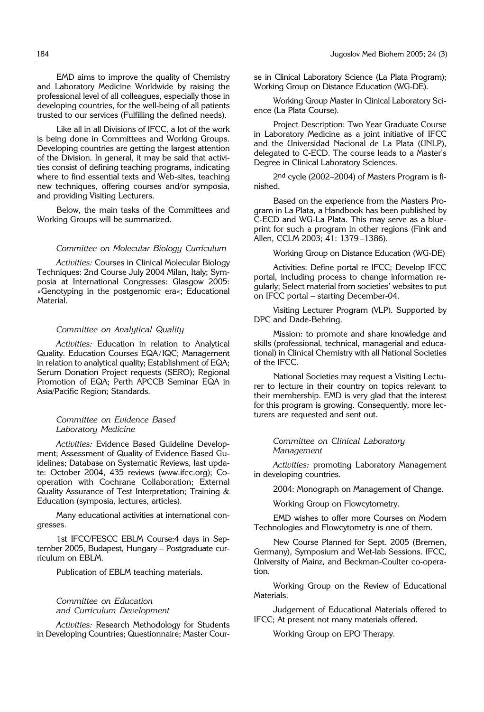EMD aims to improve the quality of Chemistry and Laboratory Medicine Worldwide by raising the professional level of all colleagues, especially those in developing countries, for the well-being of all patients trusted to our services (Fulfilling the defined needs).

Like all in all Divisions of IFCC, a lot of the work is being done in Committees and Working Groups. Developing countries are getting the largest attention of the Division. In general, it may be said that activities consist of defining teaching programs, indicating where to find essential texts and Web-sites, teaching new techniques, offering courses and/or symposia, and providing Visiting Lecturers.

Below, the main tasks of the Committees and Working Groups will be summarized.

#### *Committee on Molecular Biology Curriculum*

*Activities:* Courses in Clinical Molecular Biology Techniques: 2nd Course July 2004 Milan, Italy; Symposia at International Congresses: Glasgow 2005: »Genotyping in the postgenomic era«; Educational Material.

#### *Committee on Analytical Quality*

*Activities:* Education in relation to Analytical Quality. Education Courses EQA/IQC; Management in relation to analytical quality; Establishment of EQA; Serum Donation Project requests (SERO); Regional Promotion of EQA; Perth APCCB Seminar EQA in Asia/Pacific Region; Standards.

#### *Committee on Evidence Based Laboratory Medicine*

*Activities:* Evidence Based Guideline Development; Assessment of Quality of Evidence Based Guidelines; Database on Systematic Reviews, last update: October 2004, 435 reviews (www.ifcc.org); Cooperation with Cochrane Collaboration; External Quality Assurance of Test Interpretation; Training & Education (symposia, lectures, articles).

Many educational activities at international congresses.

1st IFCC/FESCC EBLM Course:4 days in September 2005, Budapest, Hungary – Postgraduate curriculum on EBLM.

Publication of EBLM teaching materials.

### *Committee on Education and Curriculum Development*

*Activities:* Research Methodology for Students in Developing Countries; Questionnaire; Master Course in Clinical Laboratory Science (La Plata Program); Working Group on Distance Education (WG-DE).

Working Group Master in Clinical Laboratory Science (La Plata Course).

Project Description: Two Year Graduate Course in Laboratory Medicine as a joint initiative of IFCC and the Universidad Nacional de La Plata (UNLP), delegated to C-ECD. The course leads to a Master's Degree in Clinical Laboratory Sciences.

2<sup>nd</sup> cycle (2002–2004) of Masters Program is finished.

Based on the experience from the Masters Program in La Plata, a Handbook has been published by C-ECD and WG-La Plata. This may serve as a blueprint for such a program in other regions (Fink and Allen, CCLM 2003; 41: 1379 –1386).

Working Group on Distance Education (WG-DE)

Activities: Define portal re IFCC; Develop IFCC portal, including process to change information regularly; Select material from societies' websites to put on IFCC portal – starting December-04.

Visiting Lecturer Program (VLP). Supported by DPC and Dade-Behring.

Mission: to promote and share knowledge and skills (professional, technical, managerial and educational) in Clinical Chemistry with all National Societies of the IFCC.

National Societies may request a Visiting Lecturer to lecture in their country on topics relevant to their membership. EMD is very glad that the interest for this program is growing. Consequently, more lecturers are requested and sent out.

*Committee on Clinical Laboratory Management*

*Activities:* promoting Laboratory Management in developing countries.

2004: Monograph on Management of Change.

Working Group on Flowcytometry.

EMD wishes to offer more Courses on Modern Technologies and Flowcytometry is one of them.

New Course Planned for Sept. 2005 (Bremen, Germany), Symposium and Wet-lab Sessions. IFCC, University of Mainz, and Beckman-Coulter co-operation.

Working Group on the Review of Educational Materials.

Judgement of Educational Materials offered to IFCC; At present not many materials offered.

Working Group on EPO Therapy.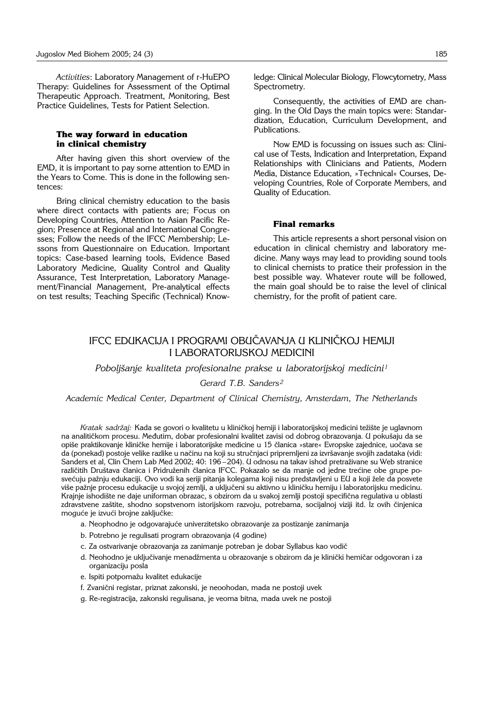Activities: Laboratory Management of r-HuEPO Therapy: Guidelines for Assessment of the Optimal Therapeutic Approach. Treatment, Monitoring, Best Practice Guidelines, Tests for Patient Selection.

# The way forward in education in clinical chemistry

After having given this short overview of the EMD, it is important to pay some attention to EMD in the Years to Come. This is done in the following sentences<sup>.</sup>

Bring clinical chemistry education to the basis where direct contacts with patients are; Focus on Developing Countries, Attention to Asian Pacific Region; Presence at Regional and International Congresses: Follow the needs of the IFCC Membership; Lessons from Questionnaire on Education. Important topics: Case-based learning tools, Evidence Based Laboratory Medicine, Quality Control and Quality Assurance, Test Interpretation, Laboratory Management/Financial Management, Pre-analytical effects on test results; Teaching Specific (Technical) Knowledge: Clinical Molecular Biology, Flowcytometry, Mass Spectrometry.

Consequently, the activities of EMD are changing. In the Old Days the main topics were: Standardization, Education, Curriculum Development, and Publications.

Now EMD is focussing on issues such as: Clinical use of Tests, Indication and Interpretation, Expand Relationships with Clinicians and Patients, Modern Media, Distance Education, »Technical« Courses, Developing Countries, Role of Corporate Members, and Quality of Education.

## **Final remarks**

This article represents a short personal vision on education in clinical chemistry and laboratory medicine. Many ways may lead to providing sound tools to clinical chemists to pratice their profession in the best possible way. Whatever route will be followed, the main goal should be to raise the level of clinical chemistry, for the profit of patient care.

# IFCC EDUKACIJA I PROGRAMI OBUČAVANJA U KLINIČKOJ HEMIJI **I LABORATORIJSKOJ MEDICINI**

Poboljšanje kvaliteta profesionalne prakse u laboratorijskoj medicini<sup>1</sup>

Gerard T.B. Sanders<sup>2</sup>

Academic Medical Center, Department of Clinical Chemistry, Amsterdam, The Netherlands

Kratak sadržaj: Kada se govori o kvalitetu u kliničkoj hemiji i laboratorijskoj medicini težište je uglavnom na analitičkom procesu. Međutim, dobar profesionalni kvalitet zavisi od dobrog obrazovanja. U pokušaju da se opiše praktikovanje kliničke hemije i laboratorijske medicine u 15 članica »stare« Evropske zajednice, uočava se da (ponekad) postoje velike razlike u načinu na koji su stručnjaci pripremljeni za izvršavanje svojih zadataka (vidi: Sanders et al, Clin Chem Lab Med 2002; 40: 196-204). U odnosu na takav ishod pretraživane su Web stranice različitih Društava članica i Pridruženih članica IFCC. Pokazalo se da manje od jedne trećine obe grupe posvećuju pažnju edukaciji. Ovo vodi ka seriji pitanja kolegama koji nisu predstavljeni u EU a koji žele da posvete više pažnje procesu edukacije u svojoj zemlji, a uključeni su aktivno u kliničku hemiju i laboratorijsku medicinu. Krajnje ishodište ne daje uniforman obrazac, s obzirom da u svakoj zemlji postoji specifična regulativa u oblasti zdravstvene zaštite, shodno sopstvenom istorijskom razvoju, potrebama, socijalnoj viziji itd. Iz ovih činjenica moguće je izvući brojne zaključke:

- a. Neophodno je odgovarajuće univerzitetsko obrazovanje za postizanje zanimanja
- b. Potrebno je regulisati program obrazovanja (4 godine)
- c. Za ostvarivanje obrazovanja za zanimanje potreban je dobar Syllabus kao vodič
- d. Neohodno je uključivanje menadžmenta u obrazovanje s obzirom da je klinički hemičar odgovoran i za organizaciju posla
- e. Ispiti potpomažu kvalitet edukacije
- f. Zvanični registar, priznat zakonski, je neoohodan, mada ne postoji uvek
- g. Re-registracija, zakonski regulisana, je veoma bitna, mada uvek ne postoji